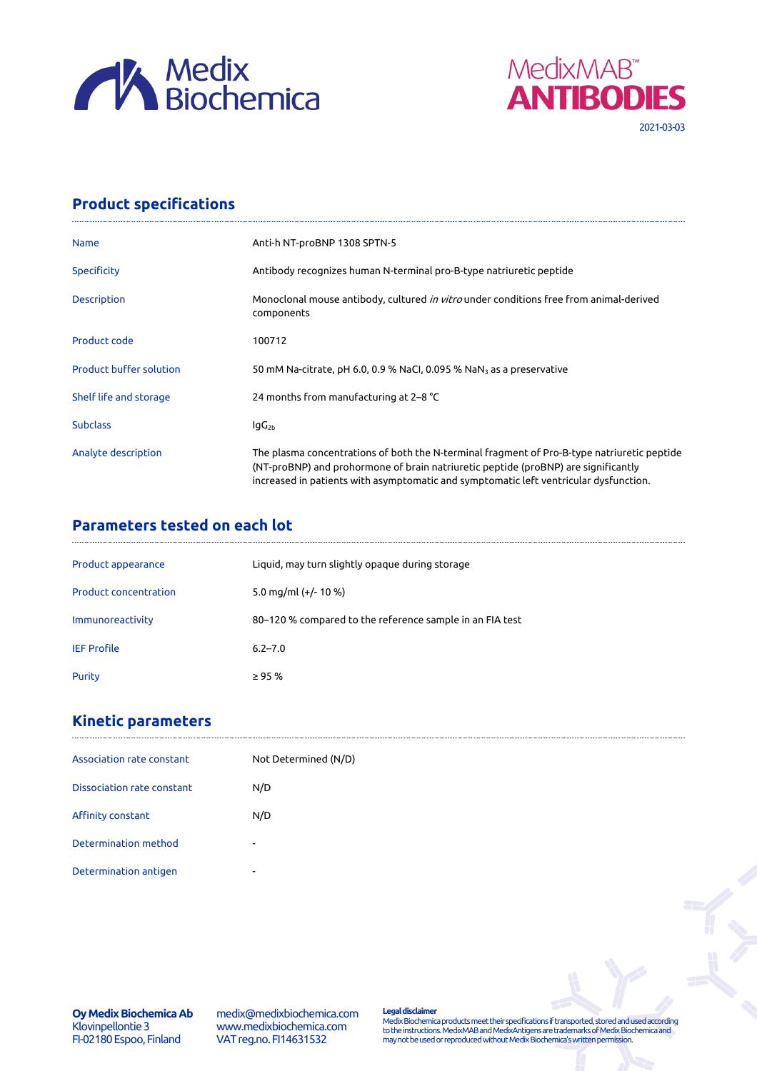



## **Product specifications**

| <b>Name</b>                    | Anti-h NT-proBNP 1308 SPTN-5                                                                                                                                                                                                                                               |
|--------------------------------|----------------------------------------------------------------------------------------------------------------------------------------------------------------------------------------------------------------------------------------------------------------------------|
| <b>Specificity</b>             | Antibody recognizes human N-terminal pro-B-type natriuretic peptide                                                                                                                                                                                                        |
| Description                    | Monoclonal mouse antibody, cultured in vitro under conditions free from animal-derived<br>components                                                                                                                                                                       |
| Product code                   | 100712                                                                                                                                                                                                                                                                     |
| <b>Product buffer solution</b> | 50 mM Na-citrate, pH 6.0, 0.9 % NaCl, 0.095 % NaN $_3$ as a preservative                                                                                                                                                                                                   |
| Shelf life and storage         | 24 months from manufacturing at 2-8 °C                                                                                                                                                                                                                                     |
| <b>Subclass</b>                | $IqG_{2b}$                                                                                                                                                                                                                                                                 |
| Analyte description            | The plasma concentrations of both the N-terminal fragment of Pro-B-type natriuretic peptide<br>(NT-proBNP) and prohormone of brain natriuretic peptide (proBNP) are significantly<br>increased in patients with asymptomatic and symptomatic left ventricular dysfunction. |

## **Parameters tested on each lot**

| Product appearance           | Liquid, may turn slightly opaque during storage          |
|------------------------------|----------------------------------------------------------|
| <b>Product concentration</b> | 5.0 mg/ml $(+/- 10 %$                                    |
| Immunoreactivity             | 80–120 % compared to the reference sample in an FIA test |
| <b>IEF Profile</b>           | $6.2 - 7.0$                                              |
| Purity                       | $\geq 95%$                                               |

## **Kinetic parameters**

| Association rate constant  | Not Determined (N/D)     |
|----------------------------|--------------------------|
| Dissociation rate constant | N/D                      |
| Affinity constant          | N/D                      |
| Determination method       | ۰                        |
| Determination antigen      | $\overline{\phantom{a}}$ |

**Oy Medix Biochemica Ab** Klovinpellontie 3 FI-02180 Espoo, Finland

medix@medixbiochemica.com www.medixbiochemica.com VAT reg.no. FI14631532

**Legal disclaimer** Medix Biochemica products meet their specifications if transported, stored and used according to the instructions. MedixMAB and MedixAntigens are trademarks of Medix Biochemica and may not be used or reproduced without Medix Biochemica's written permission.